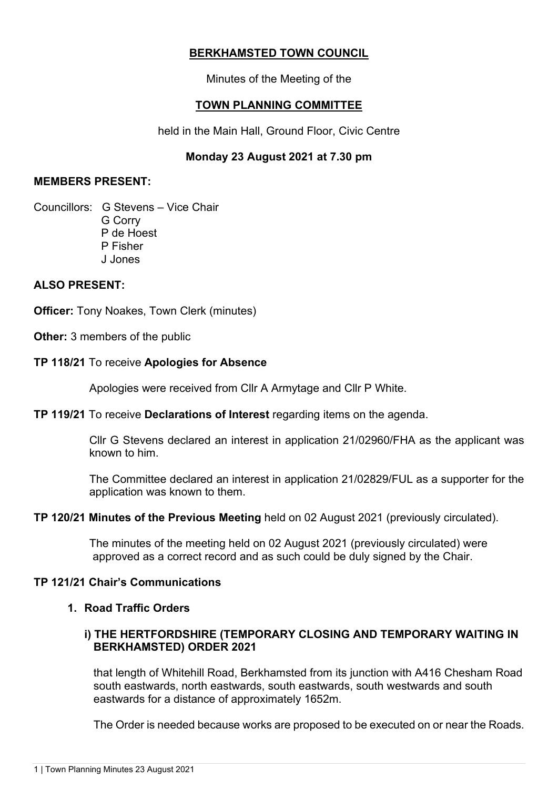# **BERKHAMSTED TOWN COUNCIL**

Minutes of the Meeting of the

# **TOWN PLANNING COMMITTEE**

held in the Main Hall, Ground Floor, Civic Centre

# **Monday 23 August 2021 at 7.30 pm**

## **MEMBERS PRESENT:**

Councillors: G Stevens – Vice Chair G Corry P de Hoest P Fisher J Jones

# **ALSO PRESENT:**

**Officer:** Tony Noakes, Town Clerk (minutes)

**Other:** 3 members of the public

## **TP 118/21** To receive **Apologies for Absence**

Apologies were received from Cllr A Armytage and Cllr P White.

### **TP 119/21** To receive **Declarations of Interest** regarding items on the agenda.

Cllr G Stevens declared an interest in application 21/02960/FHA as the applicant was known to him.

The Committee declared an interest in application 21/02829/FUL as a supporter for the application was known to them.

### **TP 120/21 Minutes of the Previous Meeting** held on 02 August 2021 (previously circulated).

 The minutes of the meeting held on 02 August 2021 (previously circulated) were approved as a correct record and as such could be duly signed by the Chair.

### **TP 121/21 Chair's Communications**

### **1. Road Traffic Orders**

# **i) THE HERTFORDSHIRE (TEMPORARY CLOSING AND TEMPORARY WAITING IN BERKHAMSTED) ORDER 2021**

that length of Whitehill Road, Berkhamsted from its junction with A416 Chesham Road south eastwards, north eastwards, south eastwards, south westwards and south eastwards for a distance of approximately 1652m.

The Order is needed because works are proposed to be executed on or near the Roads.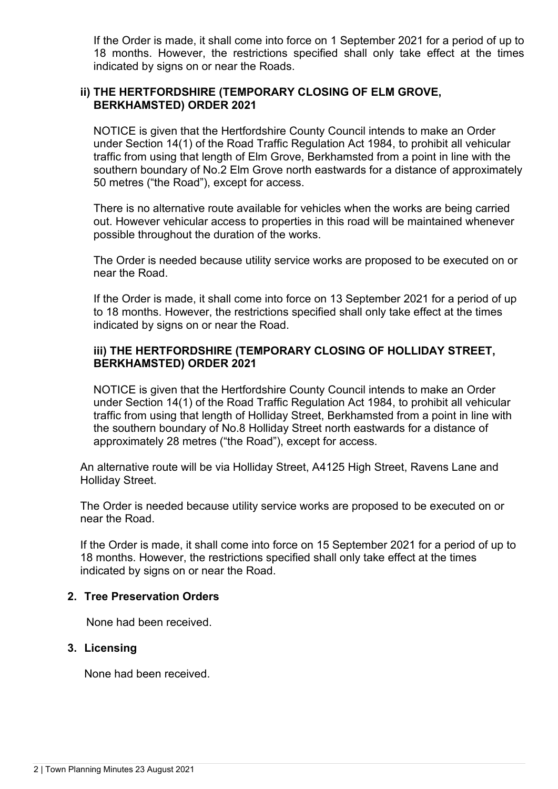If the Order is made, it shall come into force on 1 September 2021 for a period of up to 18 months. However, the restrictions specified shall only take effect at the times indicated by signs on or near the Roads.

## **ii) THE HERTFORDSHIRE (TEMPORARY CLOSING OF ELM GROVE, BERKHAMSTED) ORDER 2021**

NOTICE is given that the Hertfordshire County Council intends to make an Order under Section 14(1) of the Road Traffic Regulation Act 1984, to prohibit all vehicular traffic from using that length of Elm Grove, Berkhamsted from a point in line with the southern boundary of No.2 Elm Grove north eastwards for a distance of approximately 50 metres ("the Road"), except for access.

There is no alternative route available for vehicles when the works are being carried out. However vehicular access to properties in this road will be maintained whenever possible throughout the duration of the works.

The Order is needed because utility service works are proposed to be executed on or near the Road.

If the Order is made, it shall come into force on 13 September 2021 for a period of up to 18 months. However, the restrictions specified shall only take effect at the times indicated by signs on or near the Road.

### **iii) THE HERTFORDSHIRE (TEMPORARY CLOSING OF HOLLIDAY STREET, BERKHAMSTED) ORDER 2021**

NOTICE is given that the Hertfordshire County Council intends to make an Order under Section 14(1) of the Road Traffic Regulation Act 1984, to prohibit all vehicular traffic from using that length of Holliday Street, Berkhamsted from a point in line with the southern boundary of No.8 Holliday Street north eastwards for a distance of approximately 28 metres ("the Road"), except for access.

An alternative route will be via Holliday Street, A4125 High Street, Ravens Lane and Holliday Street.

The Order is needed because utility service works are proposed to be executed on or near the Road.

If the Order is made, it shall come into force on 15 September 2021 for a period of up to 18 months. However, the restrictions specified shall only take effect at the times indicated by signs on or near the Road.

### **2. Tree Preservation Orders**

None had been received.

### **3. Licensing**

None had been received.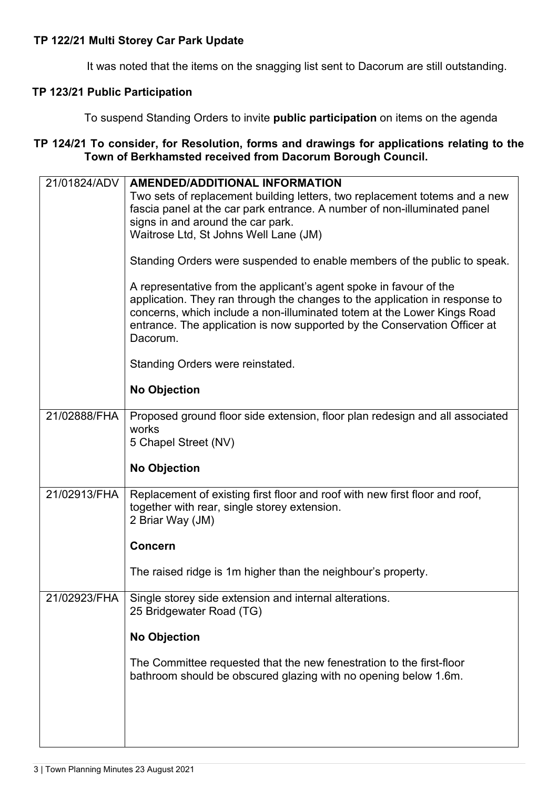## **TP 122/21 Multi Storey Car Park Update**

It was noted that the items on the snagging list sent to Dacorum are still outstanding.

# **TP 123/21 Public Participation**

To suspend Standing Orders to invite **public participation** on items on the agenda

## **TP 124/21 To consider, for Resolution, forms and drawings for applications relating to the Town of Berkhamsted received from Dacorum Borough Council.**

| 21/01824/ADV | <b>AMENDED/ADDITIONAL INFORMATION</b><br>Two sets of replacement building letters, two replacement totems and a new<br>fascia panel at the car park entrance. A number of non-illuminated panel<br>signs in and around the car park.<br>Waitrose Ltd, St Johns Well Lane (JM)                                         |
|--------------|-----------------------------------------------------------------------------------------------------------------------------------------------------------------------------------------------------------------------------------------------------------------------------------------------------------------------|
|              | Standing Orders were suspended to enable members of the public to speak.                                                                                                                                                                                                                                              |
|              | A representative from the applicant's agent spoke in favour of the<br>application. They ran through the changes to the application in response to<br>concerns, which include a non-illuminated totem at the Lower Kings Road<br>entrance. The application is now supported by the Conservation Officer at<br>Dacorum. |
|              | Standing Orders were reinstated.                                                                                                                                                                                                                                                                                      |
|              | <b>No Objection</b>                                                                                                                                                                                                                                                                                                   |
| 21/02888/FHA | Proposed ground floor side extension, floor plan redesign and all associated<br>works<br>5 Chapel Street (NV)                                                                                                                                                                                                         |
|              | <b>No Objection</b>                                                                                                                                                                                                                                                                                                   |
| 21/02913/FHA | Replacement of existing first floor and roof with new first floor and roof,<br>together with rear, single storey extension.<br>2 Briar Way (JM)                                                                                                                                                                       |
|              | <b>Concern</b>                                                                                                                                                                                                                                                                                                        |
|              | The raised ridge is 1m higher than the neighbour's property.                                                                                                                                                                                                                                                          |
| 21/02923/FHA | Single storey side extension and internal alterations.<br>25 Bridgewater Road (TG)                                                                                                                                                                                                                                    |
|              | <b>No Objection</b>                                                                                                                                                                                                                                                                                                   |
|              | The Committee requested that the new fenestration to the first-floor<br>bathroom should be obscured glazing with no opening below 1.6m.                                                                                                                                                                               |
|              |                                                                                                                                                                                                                                                                                                                       |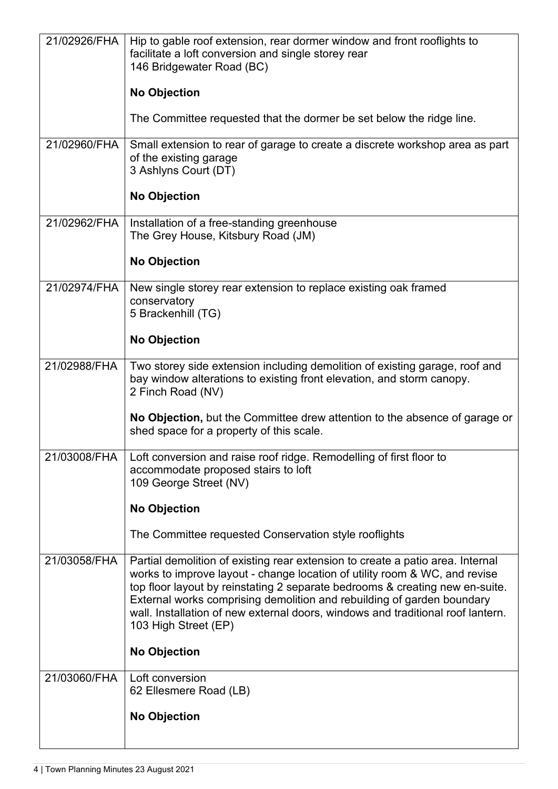| 21/02926/FHA | Hip to gable roof extension, rear dormer window and front rooflights to<br>facilitate a loft conversion and single storey rear<br>146 Bridgewater Road (BC)                                                                                                                                                                                                                                                                       |
|--------------|-----------------------------------------------------------------------------------------------------------------------------------------------------------------------------------------------------------------------------------------------------------------------------------------------------------------------------------------------------------------------------------------------------------------------------------|
|              | <b>No Objection</b>                                                                                                                                                                                                                                                                                                                                                                                                               |
|              | The Committee requested that the dormer be set below the ridge line.                                                                                                                                                                                                                                                                                                                                                              |
| 21/02960/FHA | Small extension to rear of garage to create a discrete workshop area as part<br>of the existing garage<br>3 Ashlyns Court (DT)                                                                                                                                                                                                                                                                                                    |
|              | <b>No Objection</b>                                                                                                                                                                                                                                                                                                                                                                                                               |
| 21/02962/FHA | Installation of a free-standing greenhouse<br>The Grey House, Kitsbury Road (JM)                                                                                                                                                                                                                                                                                                                                                  |
|              | <b>No Objection</b>                                                                                                                                                                                                                                                                                                                                                                                                               |
| 21/02974/FHA | New single storey rear extension to replace existing oak framed<br>conservatory                                                                                                                                                                                                                                                                                                                                                   |
|              | 5 Brackenhill (TG)                                                                                                                                                                                                                                                                                                                                                                                                                |
|              | <b>No Objection</b>                                                                                                                                                                                                                                                                                                                                                                                                               |
| 21/02988/FHA | Two storey side extension including demolition of existing garage, roof and<br>bay window alterations to existing front elevation, and storm canopy.<br>2 Finch Road (NV)                                                                                                                                                                                                                                                         |
|              | No Objection, but the Committee drew attention to the absence of garage or<br>shed space for a property of this scale.                                                                                                                                                                                                                                                                                                            |
| 21/03008/FHA | Loft conversion and raise roof ridge. Remodelling of first floor to<br>accommodate proposed stairs to loft<br>109 George Street (NV)                                                                                                                                                                                                                                                                                              |
|              | <b>No Objection</b>                                                                                                                                                                                                                                                                                                                                                                                                               |
|              | The Committee requested Conservation style rooflights                                                                                                                                                                                                                                                                                                                                                                             |
| 21/03058/FHA | Partial demolition of existing rear extension to create a patio area. Internal<br>works to improve layout - change location of utility room & WC, and revise<br>top floor layout by reinstating 2 separate bedrooms & creating new en-suite.<br>External works comprising demolition and rebuilding of garden boundary<br>wall. Installation of new external doors, windows and traditional roof lantern.<br>103 High Street (EP) |
|              | <b>No Objection</b>                                                                                                                                                                                                                                                                                                                                                                                                               |
| 21/03060/FHA | Loft conversion<br>62 Ellesmere Road (LB)                                                                                                                                                                                                                                                                                                                                                                                         |
|              | <b>No Objection</b>                                                                                                                                                                                                                                                                                                                                                                                                               |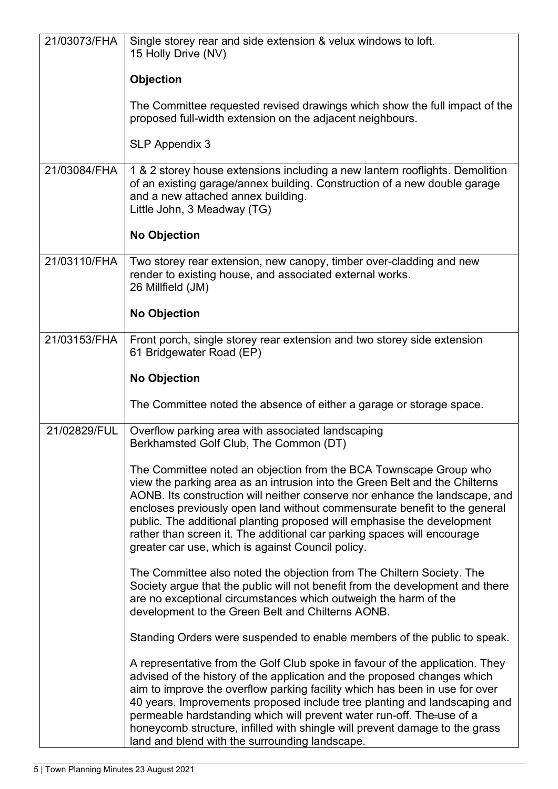| 21/03073/FHA | Single storey rear and side extension & velux windows to loft.<br>15 Holly Drive (NV)                                                                                                                                                                                                                                                                                                                                                                                                                                          |
|--------------|--------------------------------------------------------------------------------------------------------------------------------------------------------------------------------------------------------------------------------------------------------------------------------------------------------------------------------------------------------------------------------------------------------------------------------------------------------------------------------------------------------------------------------|
|              | Objection                                                                                                                                                                                                                                                                                                                                                                                                                                                                                                                      |
|              | The Committee requested revised drawings which show the full impact of the<br>proposed full-width extension on the adjacent neighbours.                                                                                                                                                                                                                                                                                                                                                                                        |
|              | <b>SLP Appendix 3</b>                                                                                                                                                                                                                                                                                                                                                                                                                                                                                                          |
| 21/03084/FHA | 1 & 2 storey house extensions including a new lantern rooflights. Demolition<br>of an existing garage/annex building. Construction of a new double garage<br>and a new attached annex building.<br>Little John, 3 Meadway (TG)                                                                                                                                                                                                                                                                                                 |
|              | <b>No Objection</b>                                                                                                                                                                                                                                                                                                                                                                                                                                                                                                            |
| 21/03110/FHA | Two storey rear extension, new canopy, timber over-cladding and new<br>render to existing house, and associated external works.<br>26 Millfield (JM)                                                                                                                                                                                                                                                                                                                                                                           |
|              | <b>No Objection</b>                                                                                                                                                                                                                                                                                                                                                                                                                                                                                                            |
| 21/03153/FHA | Front porch, single storey rear extension and two storey side extension<br>61 Bridgewater Road (EP)                                                                                                                                                                                                                                                                                                                                                                                                                            |
|              | <b>No Objection</b>                                                                                                                                                                                                                                                                                                                                                                                                                                                                                                            |
|              | The Committee noted the absence of either a garage or storage space.                                                                                                                                                                                                                                                                                                                                                                                                                                                           |
| 21/02829/FUL | Overflow parking area with associated landscaping<br>Berkhamsted Golf Club, The Common (DT)                                                                                                                                                                                                                                                                                                                                                                                                                                    |
|              | The Committee noted an objection from the BCA Townscape Group who<br>view the parking area as an intrusion into the Green Belt and the Chilterns<br>AONB. Its construction will neither conserve nor enhance the landscape, and<br>encloses previously open land without commensurate benefit to the general<br>public. The additional planting proposed will emphasise the development<br>rather than screen it. The additional car parking spaces will encourage<br>greater car use, which is against Council policy.        |
|              | The Committee also noted the objection from The Chiltern Society. The<br>Society argue that the public will not benefit from the development and there<br>are no exceptional circumstances which outweigh the harm of the<br>development to the Green Belt and Chilterns AONB.                                                                                                                                                                                                                                                 |
|              | Standing Orders were suspended to enable members of the public to speak.                                                                                                                                                                                                                                                                                                                                                                                                                                                       |
|              | A representative from the Golf Club spoke in favour of the application. They<br>advised of the history of the application and the proposed changes which<br>aim to improve the overflow parking facility which has been in use for over<br>40 years. Improvements proposed include tree planting and landscaping and<br>permeable hardstanding which will prevent water run-off. The-use of a<br>honeycomb structure, infilled with shingle will prevent damage to the grass<br>land and blend with the surrounding landscape. |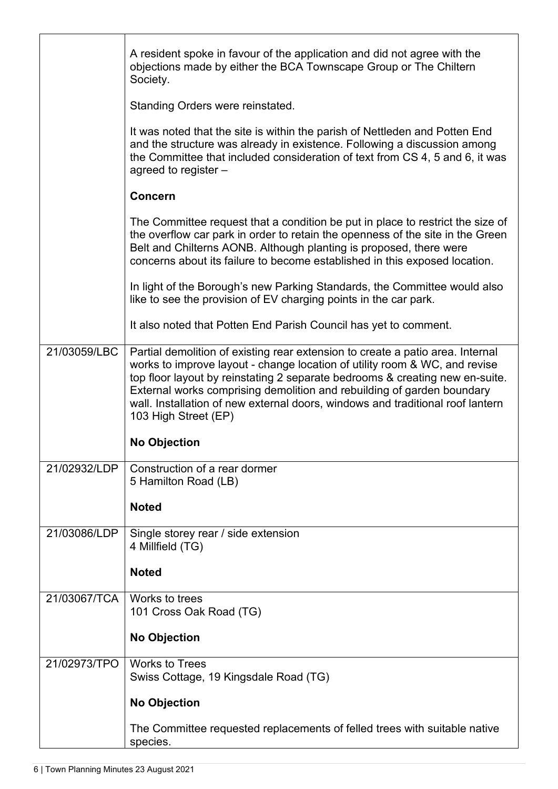|              | A resident spoke in favour of the application and did not agree with the<br>objections made by either the BCA Townscape Group or The Chiltern<br>Society.                                                                                                                                                                                                                                                                        |
|--------------|----------------------------------------------------------------------------------------------------------------------------------------------------------------------------------------------------------------------------------------------------------------------------------------------------------------------------------------------------------------------------------------------------------------------------------|
|              | Standing Orders were reinstated.                                                                                                                                                                                                                                                                                                                                                                                                 |
|              | It was noted that the site is within the parish of Nettleden and Potten End<br>and the structure was already in existence. Following a discussion among<br>the Committee that included consideration of text from CS 4, 5 and 6, it was<br>agreed to register -                                                                                                                                                                  |
|              | <b>Concern</b>                                                                                                                                                                                                                                                                                                                                                                                                                   |
|              | The Committee request that a condition be put in place to restrict the size of<br>the overflow car park in order to retain the openness of the site in the Green<br>Belt and Chilterns AONB. Although planting is proposed, there were<br>concerns about its failure to become established in this exposed location.                                                                                                             |
|              | In light of the Borough's new Parking Standards, the Committee would also<br>like to see the provision of EV charging points in the car park.                                                                                                                                                                                                                                                                                    |
|              | It also noted that Potten End Parish Council has yet to comment.                                                                                                                                                                                                                                                                                                                                                                 |
| 21/03059/LBC | Partial demolition of existing rear extension to create a patio area. Internal<br>works to improve layout - change location of utility room & WC, and revise<br>top floor layout by reinstating 2 separate bedrooms & creating new en-suite.<br>External works comprising demolition and rebuilding of garden boundary<br>wall. Installation of new external doors, windows and traditional roof lantern<br>103 High Street (EP) |
|              | <b>No Objection</b>                                                                                                                                                                                                                                                                                                                                                                                                              |
| 21/02932/LDP | Construction of a rear dormer<br>5 Hamilton Road (LB)<br><b>Noted</b>                                                                                                                                                                                                                                                                                                                                                            |
|              |                                                                                                                                                                                                                                                                                                                                                                                                                                  |
| 21/03086/LDP | Single storey rear / side extension<br>4 Millfield (TG)                                                                                                                                                                                                                                                                                                                                                                          |
|              | <b>Noted</b>                                                                                                                                                                                                                                                                                                                                                                                                                     |
| 21/03067/TCA | Works to trees<br>101 Cross Oak Road (TG)                                                                                                                                                                                                                                                                                                                                                                                        |
|              | <b>No Objection</b>                                                                                                                                                                                                                                                                                                                                                                                                              |
| 21/02973/TPO | <b>Works to Trees</b><br>Swiss Cottage, 19 Kingsdale Road (TG)                                                                                                                                                                                                                                                                                                                                                                   |
|              | <b>No Objection</b>                                                                                                                                                                                                                                                                                                                                                                                                              |
|              | The Committee requested replacements of felled trees with suitable native<br>species.                                                                                                                                                                                                                                                                                                                                            |